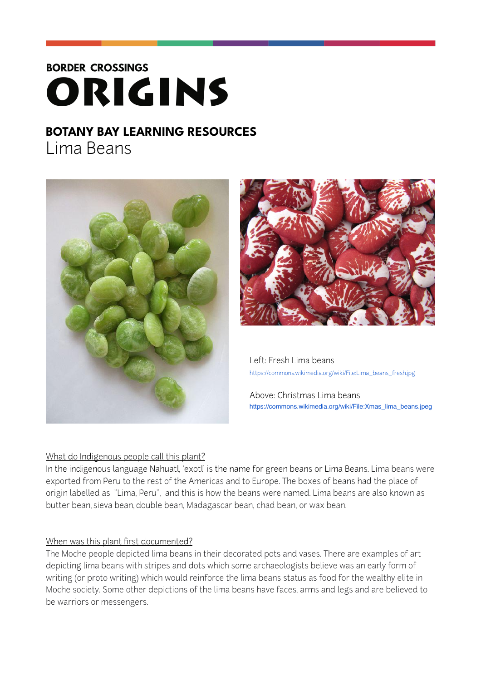# **BORDER CROSSINGS** ORIGINS

# **BOTANY BAY LEARNING RESOURCES**

Lima Beans





 Left: Fresh Lima beans [https://commons.wikimedia.org/wiki/File:Lima\\_beans\\_fresh.jpg](https://commons.wikimedia.org/wiki/File:Lima_beans_fresh.jpg)

 Above: Christmas Lima beans [https://commons.wikimedia.org/wiki/File:Xmas\\_lima\\_beans.jpeg](https://commons.wikimedia.org/wiki/File:Xmas_lima_beans.jpeg)

## What do Indigenous people call this plant?

In the indigenous language Nahuatl, 'exotl' is the name for green beans or Lima Beans. Lima beans were exported from Peru to the rest of the Americas and to Europe. The boxes of beans had the place of origin labelled as "Lima, Peru", and this is how the beans were named. Lima beans are also known as butter bean, sieva bean, double bean, Madagascar bean, chad bean, or wax bean.

## When was this plant first documented?

The Moche people depicted lima beans in their decorated pots and vases. There are examples of art depicting lima beans with stripes and dots which some archaeologists believe was an early form of writing (or proto writing) which would reinforce the lima beans status as food for the wealthy elite in Moche society. Some other depictions of the lima beans have faces, arms and legs and are believed to be warriors or messengers.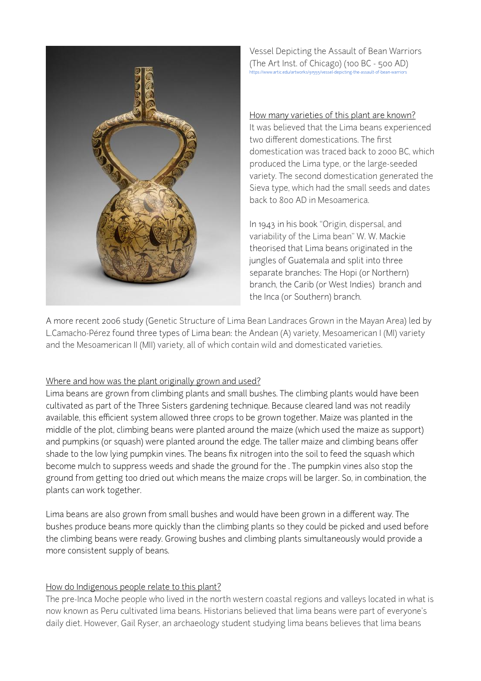

Vessel Depicting the Assault of Bean Warriors (The Art Inst. of Chicago) (100 BC - 500 AD) <https://www.artic.edu/artworks/91555/vessel-depicting-the-assault-of-bean-warriors>

How many varieties of this plant are known? It was believed that the Lima beans experienced two different domestications. The first domestication was traced back to 2000 BC, which produced the Lima type, or the large-seeded variety. The second domestication generated the Sieva type, which had the small seeds and dates back to 800 AD in Mesoamerica.

In 1943 in his book "Origin, dispersal, and variability of the Lima bean" W. W. Mackie theorised that Lima beans originated in the jungles of Guatemala and split into three separate branches: The Hopi (or Northern) branch, the Carib (or West Indies) branch and the Inca (or Southern) branch.

A more recent 2006 study (Genetic Structure of Lima Bean Landraces Grown in the Mayan Area) led by L.Camacho-Pérez found three types of Lima bean: the Andean (A) variety, Mesoamerican I (MI) variety and the Mesoamerican II (MII) variety, all of which contain wild and domesticated varieties.

#### Where and how was the plant originally grown and used?

Lima beans are grown from climbing plants and small bushes. The climbing plants would have been cultivated as part of the Three Sisters gardening technique. Because cleared land was not readily available, this efficient system allowed three crops to be grown together. Maize was planted in the middle of the plot, climbing beans were planted around the maize (which used the maize as support) and pumpkins (or squash) were planted around the edge. The taller maize and climbing beans offer shade to the low lying pumpkin vines. The beans fix nitrogen into the soil to feed the squash which become mulch to suppress weeds and shade the ground for the . The pumpkin vines also stop the ground from getting too dried out which means the maize crops will be larger. So, in combination, the plants can work together.

Lima beans are also grown from small bushes and would have been grown in a different way. The bushes produce beans more quickly than the climbing plants so they could be picked and used before the climbing beans were ready. Growing bushes and climbing plants simultaneously would provide a more consistent supply of beans.

#### How do Indigenous people relate to this plant?

The pre-Inca Moche people who lived in the north western coastal regions and valleys located in what is now known as Peru cultivated lima beans. Historians believed that lima beans were part of everyone's daily diet. However, Gail Ryser, an archaeology student studying lima beans believes that lima beans